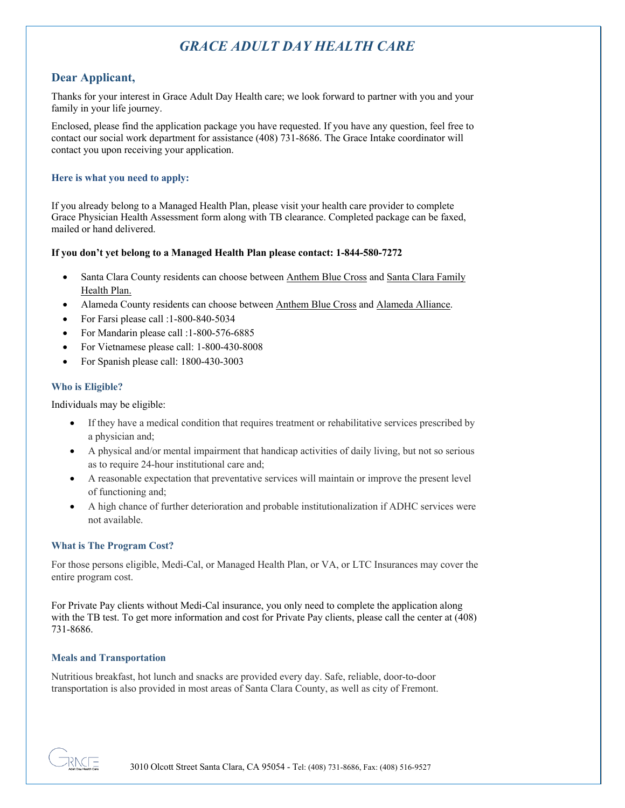# *GRACE ADULT DAY HEALTH CARE*

### **Dear Applicant,**

Thanks for your interest in Grace Adult Day Health care; we look forward to partner with you and your family in your life journey.

Enclosed, please find the application package you have requested. If you have any question, feel free to contact our social work department for assistance (408) 731-8686. The Grace Intake coordinator will contact you upon receiving your application.

#### **Here is what you need to apply:**

If you already belong to a Managed Health Plan, please visit your health care provider to complete Grace Physician Health Assessment form along with TB clearance. Completed package can be faxed, mailed or hand delivered.

#### **If you don't yet belong to a Managed Health Plan please contact: 1-844-580-7272**

- Santa Clara County residents can choose between Anthem Blue Cross and Santa Clara Family Health Plan.
- Alameda County residents can choose between Anthem Blue Cross and Alameda Alliance.
- For Farsi please call :1-800-840-5034
- For Mandarin please call :1-800-576-6885
- For Vietnamese please call: 1-800-430-8008
- For Spanish please call: 1800-430-3003

#### **Who is Eligible?**

Individuals may be eligible:

- If they have a medical condition that requires treatment or rehabilitative services prescribed by a physician and;
- A physical and/or mental impairment that handicap activities of daily living, but not so serious as to require 24-hour institutional care and;
- A reasonable expectation that preventative services will maintain or improve the present level of functioning and;
- A high chance of further deterioration and probable institutionalization if ADHC services were not available.

#### **What is The Program Cost?**

For those persons eligible, Medi-Cal, or Managed Health Plan, or VA, or LTC Insurances may cover the entire program cost.

For Private Pay clients without Medi-Cal insurance, you only need to complete the application along with the TB test. To get more information and cost for Private Pay clients, please call the center at (408) 731-8686.

#### **Meals and Transportation**

Nutritious breakfast, hot lunch and snacks are provided every day. Safe, reliable, door-to-door transportation is also provided in most areas of Santa Clara County, as well as city of Fremont.